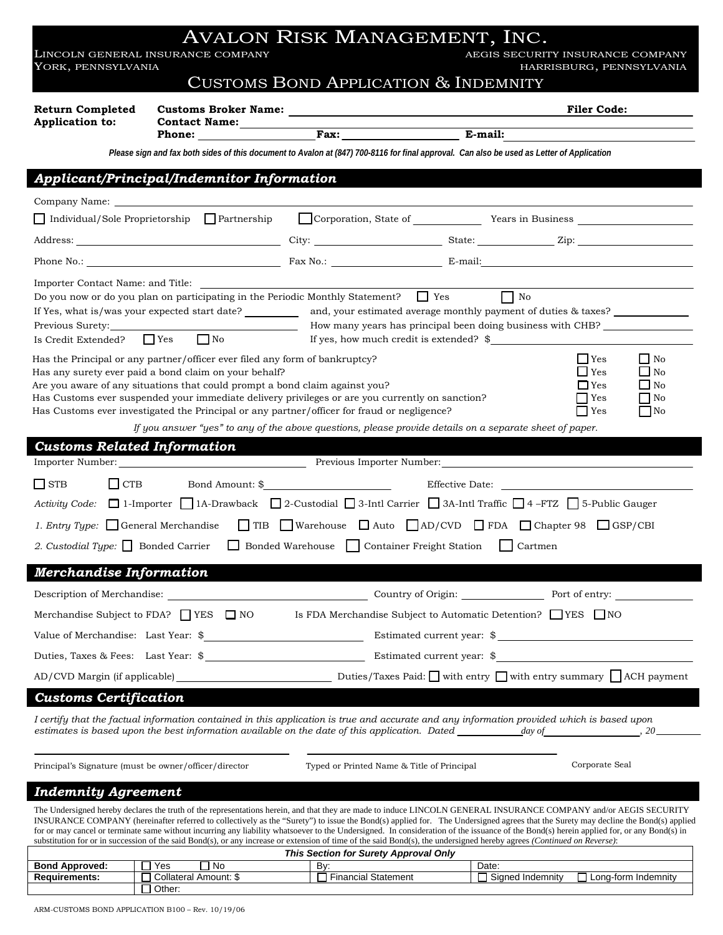LINCOLN GENERAL INSURANCE COMPANY AEGIS SECURITY INSURANCE COMPANY AEGIS SECURITY INSURANCE COMPANY ACCOMPANY AEGIS SECURITY INSURANCE COMPANY YORK, PENNSYLVANIA HARRISBURG, PENNSYLVANIA

## CUSTOMS BOND APPLICATION & INDEMNITY

## **Customs Broker Name: Filer Code: Filer Code: Filer Code: Filer Code: Filer Code: Return Completed**

**Application to:** 

**Contact Name:** 

Phone: Fax: E-mail:

*Please sign and fax both sides of this document to Avalon at (847) 700-8116 for final approval. Can also be used as Letter of Application*

## *Applicant/Principal/Indemnitor Information*

| Importer Contact Name: and Title:<br>Do you now or do you plan on participating in the Periodic Monthly Statement? $\Box$ Yes<br>If Yes, what is/was your expected start date?<br>Previous Surety:<br>$\Box$ No<br>Is Credit Extended?<br>$\Box$ Yes                                                                                                                                                                  |                                                                                                         | If yes, how much credit is extended? $\frac{1}{2}$ | $\Box$ No<br>and, your estimated average monthly payment of duties & taxes?<br>How many years has principal been doing business with CHB? |                                                          |
|-----------------------------------------------------------------------------------------------------------------------------------------------------------------------------------------------------------------------------------------------------------------------------------------------------------------------------------------------------------------------------------------------------------------------|---------------------------------------------------------------------------------------------------------|----------------------------------------------------|-------------------------------------------------------------------------------------------------------------------------------------------|----------------------------------------------------------|
| Has the Principal or any partner/officer ever filed any form of bankruptcy?<br>Has any surety ever paid a bond claim on your behalf?<br>Are you aware of any situations that could prompt a bond claim against you?<br>Has Customs ever suspended your immediate delivery privileges or are you currently on sanction?<br>Has Customs ever investigated the Principal or any partner/officer for fraud or negligence? | If you answer "yes" to any of the above questions, please provide details on a separate sheet of paper. |                                                    | $\Box$ Yes<br>$\Box$ Yes<br>$\Box$ Yes<br>  Yes<br>⊿ Yes                                                                                  | $\Box$ No<br>∟ No<br>$\Box$ No<br>$\Box$ No<br><b>No</b> |
| <b>Customs Related Information</b>                                                                                                                                                                                                                                                                                                                                                                                    |                                                                                                         |                                                    |                                                                                                                                           |                                                          |
|                                                                                                                                                                                                                                                                                                                                                                                                                       |                                                                                                         |                                                    |                                                                                                                                           |                                                          |
| $\Box$ STB<br>$\Box$ CTB<br>Activity Code: □ 1-Importer □ 1A-Drawback □ 2-Custodial □ 3-Intl Carrier □ 3A-Intl Traffic □ 4-FTZ □ 5-Public Gauger<br>1. Entry Type: $\Box$ General Merchandise<br>2. Custodial Type: $\Box$ Bonded Carrier $\Box$ Bonded Warehouse $\Box$ Container Freight Station $\Box$                                                                                                             | $\Box$ TIB $\Box$ Warehouse $\Box$ Auto $\Box$ AD/CVD $\Box$ FDA $\Box$ Chapter 98 $\Box$ GSP/CBI       |                                                    | Cartmen                                                                                                                                   |                                                          |
| Merchandise Information                                                                                                                                                                                                                                                                                                                                                                                               |                                                                                                         |                                                    |                                                                                                                                           |                                                          |
|                                                                                                                                                                                                                                                                                                                                                                                                                       |                                                                                                         |                                                    | Country of Origin: Port of entry:                                                                                                         |                                                          |
| Merchandise Subject to FDA? $\Box$ YES $\Box$ NO                                                                                                                                                                                                                                                                                                                                                                      |                                                                                                         |                                                    | Is FDA Merchandise Subject to Automatic Detention? VES NO                                                                                 |                                                          |
|                                                                                                                                                                                                                                                                                                                                                                                                                       |                                                                                                         |                                                    |                                                                                                                                           |                                                          |
|                                                                                                                                                                                                                                                                                                                                                                                                                       |                                                                                                         |                                                    |                                                                                                                                           |                                                          |
| AD/CVD Margin (if applicable) Duties/Taxes Paid: with entry with entry summary ACH payment                                                                                                                                                                                                                                                                                                                            |                                                                                                         |                                                    |                                                                                                                                           |                                                          |
| <b>Customs Certification</b>                                                                                                                                                                                                                                                                                                                                                                                          |                                                                                                         |                                                    |                                                                                                                                           |                                                          |
| I certify that the factual information contained in this application is true and accurate and any information provided which is based upon<br>estimates is based upon the best information available on the date of this application. Dated                                                                                                                                                                           |                                                                                                         |                                                    | day of                                                                                                                                    | 20                                                       |
| Principal's Signature (must be owner/officer/director                                                                                                                                                                                                                                                                                                                                                                 | Typed or Printed Name & Title of Principal                                                              |                                                    | Corporate Seal                                                                                                                            |                                                          |
| <b>Indemnity Agreement</b>                                                                                                                                                                                                                                                                                                                                                                                            |                                                                                                         |                                                    |                                                                                                                                           |                                                          |
| The Undersigned hereby declares the truth of the representations herein, and that they are made to induce LINCOLN GENERAL INSURANCE COMPANY and/or AEGIS SECURITY                                                                                                                                                                                                                                                     |                                                                                                         |                                                    |                                                                                                                                           |                                                          |

INSURANCE COMPANY (hereinafter referred to collectively as the "Surety") to issue the Bond(s) applied for. The Undersigned agrees that the Surety may decline the Bond(s) applied for or may cancel or terminate same without incurring any liability whatsoever to the Undersigned. In consideration of the issuance of the Bond(s) herein applied for, or any Bond(s) in substitution for or in succession of the said Bond(s), or any increase or extension of time of the said Bond(s), the undersigned hereby agrees *(Continued on Reverse)*:

| This Section for Surety Approval Only |                       |                            |                                         |  |  |  |  |
|---------------------------------------|-----------------------|----------------------------|-----------------------------------------|--|--|--|--|
| <b>Bond Approved:</b>                 | Yes<br>N0             | Bv                         | Date:                                   |  |  |  |  |
| <b>Requirements:</b>                  | Collateral Amount: \$ | <b>Financial Statement</b> | Signed Indemnity<br>Long-form Indemnity |  |  |  |  |
|                                       | Other:                |                            |                                         |  |  |  |  |